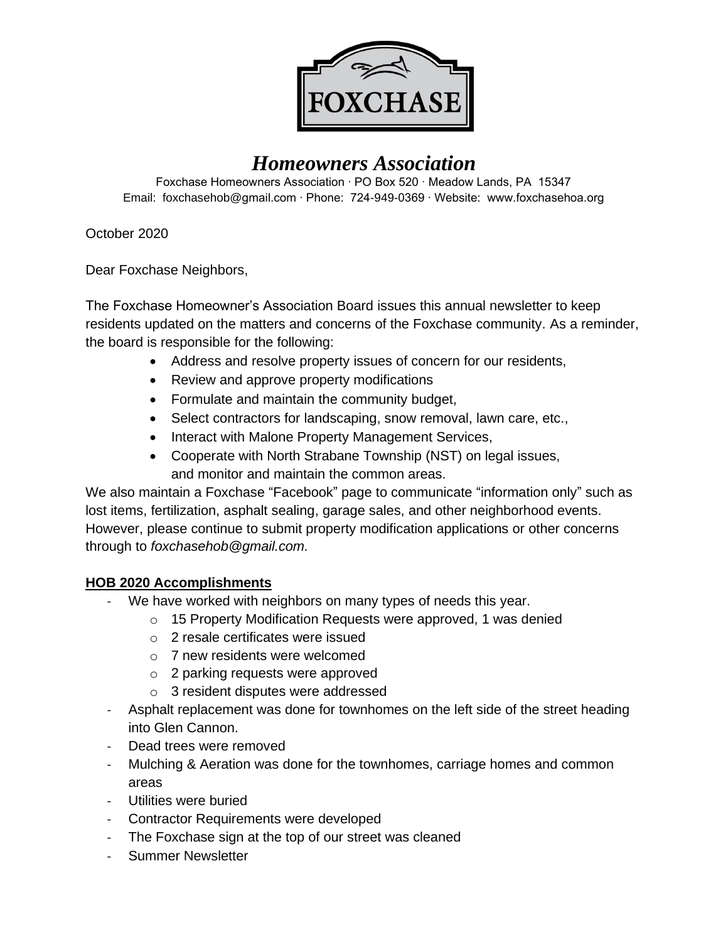

# *Homeowners Association*

Foxchase Homeowners Association ∙ PO Box 520 ∙ Meadow Lands, PA 15347 Email: foxchasehob@gmail.com ∙ Phone: 724-949-0369 ∙ Website: www.foxchasehoa.org

October 2020

Dear Foxchase Neighbors,

The Foxchase Homeowner's Association Board issues this annual newsletter to keep residents updated on the matters and concerns of the Foxchase community. As a reminder, the board is responsible for the following:

- Address and resolve property issues of concern for our residents,
- Review and approve property modifications
- Formulate and maintain the community budget,
- Select contractors for landscaping, snow removal, lawn care, etc.,
- Interact with Malone Property Management Services,
- Cooperate with North Strabane Township (NST) on legal issues, and monitor and maintain the common areas.

We also maintain a Foxchase "Facebook" page to communicate "information only" such as lost items, fertilization, asphalt sealing, garage sales, and other neighborhood events. However, please continue to submit property modification applications or other concerns through to *[foxchasehob@gmail.com.](mailto:foxchasehob@gmail.com)*

# **HOB 2020 Accomplishments**

- We have worked with neighbors on many types of needs this year.
	- o 15 Property Modification Requests were approved, 1 was denied
	- o 2 resale certificates were issued
	- o 7 new residents were welcomed
	- o 2 parking requests were approved
	- o 3 resident disputes were addressed
- Asphalt replacement was done for townhomes on the left side of the street heading into Glen Cannon.
- Dead trees were removed
- Mulching & Aeration was done for the townhomes, carriage homes and common areas
- Utilities were buried
- Contractor Requirements were developed
- The Foxchase sign at the top of our street was cleaned
- Summer Newsletter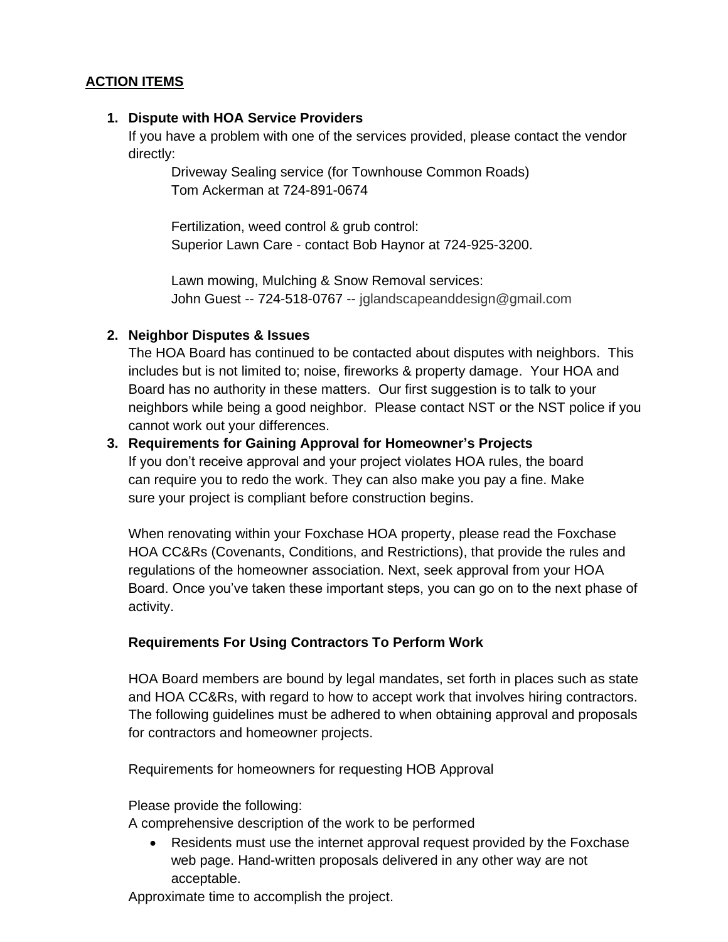## **ACTION ITEMS**

## **1. Dispute with HOA Service Providers**

If you have a problem with one of the services provided, please contact the vendor directly:

Driveway Sealing service (for Townhouse Common Roads) Tom Ackerman at 724-891-0674

Fertilization, weed control & grub control: Superior Lawn Care - contact Bob Haynor at 724-925-3200.

Lawn mowing, Mulching & Snow Removal services: John Guest -- 724-518-0767 -- [jglandscapeanddesign@gmail.com](mailto:jglandscapeanddesign@gmail.com)

## **2. Neighbor Disputes & Issues**

The HOA Board has continued to be contacted about disputes with neighbors. This includes but is not limited to; noise, fireworks & property damage. Your HOA and Board has no authority in these matters. Our first suggestion is to talk to your neighbors while being a good neighbor. Please contact NST or the NST police if you cannot work out your differences.

## **3. Requirements for Gaining Approval for Homeowner's Projects**

If you don't receive approval and your project violates HOA rules, the board can require you to redo the work. They can also make you pay a fine. Make sure your project is compliant before construction begins.

When renovating within your Foxchase HOA property, please read the Foxchase HOA CC&Rs (Covenants, Conditions, and Restrictions), that provide the rules and regulations of the homeowner association. Next, seek approval from your HOA Board. Once you've taken these important steps, you can go on to the next phase of activity.

## **Requirements For Using Contractors To Perform Work**

HOA Board members are bound by legal mandates, set forth in places such as state and HOA CC&Rs, with regard to how to accept work that involves hiring contractors. The following guidelines must be adhered to when obtaining approval and proposals for contractors and homeowner projects.

Requirements for homeowners for requesting HOB Approval

Please provide the following:

A comprehensive description of the work to be performed

• Residents must use the internet approval request provided by the Foxchase web page. Hand-written proposals delivered in any other way are not acceptable.

Approximate time to accomplish the project.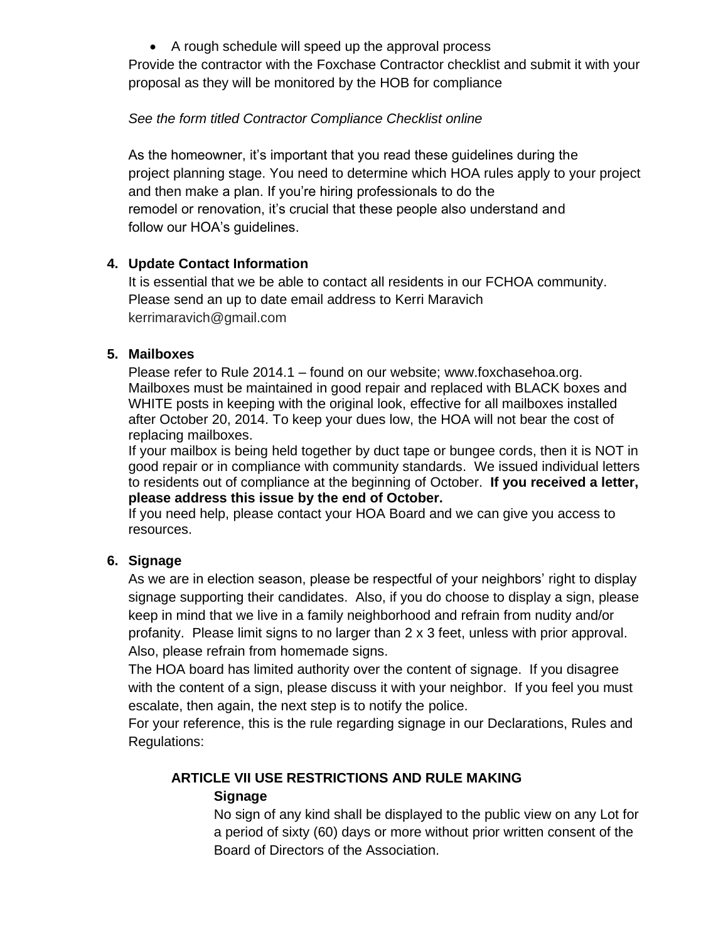• A rough schedule will speed up the approval process

Provide the contractor with the Foxchase Contractor checklist and submit it with your proposal as they will be monitored by the HOB for compliance

## *See the form titled Contractor Compliance Checklist online*

As the homeowner, it's important that you read these guidelines during the project planning stage. You need to determine which HOA rules apply to your project and then make a plan. If you're hiring professionals to do the remodel or renovation, it's crucial that these people also understand and follow our HOA's guidelines.

## **4. Update Contact Information**

It is essential that we be able to contact all residents in our FCHOA community. Please send an up to date email address to Kerri Maravich kerrimaravich@gmail.com

## **5. Mailboxes**

Please refer to Rule 2014.1 – found on our website; [www.foxchasehoa.org.](http://www.foxchasehoa.org/) Mailboxes must be maintained in good repair and replaced with BLACK boxes and WHITE posts in keeping with the original look, effective for all mailboxes installed after October 20, 2014. To keep your dues low, the HOA will not bear the cost of replacing mailboxes.

If your mailbox is being held together by duct tape or bungee cords, then it is NOT in good repair or in compliance with community standards. We issued individual letters to residents out of compliance at the beginning of October. **If you received a letter, please address this issue by the end of October.**

If you need help, please contact your HOA Board and we can give you access to resources.

# **6. Signage**

As we are in election season, please be respectful of your neighbors' right to display signage supporting their candidates. Also, if you do choose to display a sign, please keep in mind that we live in a family neighborhood and refrain from nudity and/or profanity. Please limit signs to no larger than 2 x 3 feet, unless with prior approval. Also, please refrain from homemade signs.

The HOA board has limited authority over the content of signage. If you disagree with the content of a sign, please discuss it with your neighbor. If you feel you must escalate, then again, the next step is to notify the police.

For your reference, this is the rule regarding signage in our Declarations, Rules and Regulations:

# **ARTICLE VII USE RESTRICTIONS AND RULE MAKING Signage**

No sign of any kind shall be displayed to the public view on any Lot for a period of sixty (60) days or more without prior written consent of the Board of Directors of the Association.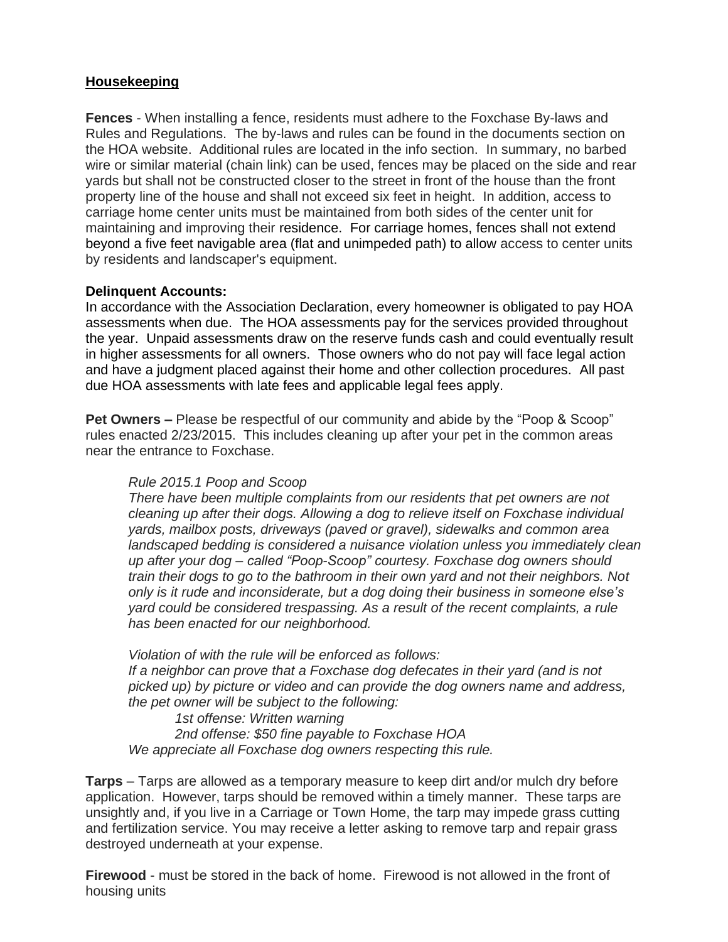## **Housekeeping**

**Fences** - When installing a fence, residents must adhere to the Foxchase By-laws and Rules and Regulations. The by-laws and rules can be found in the documents section on the HOA website. Additional rules are located in the info section. In summary, no barbed wire or similar material (chain link) can be used, fences may be placed on the side and rear yards but shall not be constructed closer to the street in front of the house than the front property line of the house and shall not exceed six feet in height. In addition, access to carriage home center units must be maintained from both sides of the center unit for maintaining and improving their residence. For carriage homes, fences shall not extend beyond a five feet navigable area (flat and unimpeded path) to allow access to center units by residents and landscaper's equipment.

#### **Delinquent Accounts:**

In accordance with the Association Declaration, every homeowner is obligated to pay HOA assessments when due. The HOA assessments pay for the services provided throughout the year. Unpaid assessments draw on the reserve funds cash and could eventually result in higher assessments for all owners. Those owners who do not pay will face legal action and have a judgment placed against their home and other collection procedures. All past due HOA assessments with late fees and applicable legal fees apply.

**Pet Owners –** Please be respectful of our community and abide by the "Poop & Scoop" rules enacted 2/23/2015. This includes cleaning up after your pet in the common areas near the entrance to Foxchase.

#### *Rule 2015.1 Poop and Scoop*

*There have been multiple complaints from our residents that pet owners are not cleaning up after their dogs. Allowing a dog to relieve itself on Foxchase individual yards, mailbox posts, driveways (paved or gravel), sidewalks and common area*  landscaped bedding is considered a nuisance violation unless you immediately clean *up after your dog – called "Poop-Scoop" courtesy. Foxchase dog owners should train their dogs to go to the bathroom in their own yard and not their neighbors. Not only is it rude and inconsiderate, but a dog doing their business in someone else's yard could be considered trespassing. As a result of the recent complaints, a rule has been enacted for our neighborhood.*

*Violation of with the rule will be enforced as follows: If a neighbor can prove that a Foxchase dog defecates in their yard (and is not picked up) by picture or video and can provide the dog owners name and address, the pet owner will be subject to the following:*

*1st offense: Written warning 2nd offense: \$50 fine payable to Foxchase HOA We appreciate all Foxchase dog owners respecting this rule.*

**Tarps** – Tarps are allowed as a temporary measure to keep dirt and/or mulch dry before application. However, tarps should be removed within a timely manner. These tarps are unsightly and, if you live in a Carriage or Town Home, the tarp may impede grass cutting and fertilization service. You may receive a letter asking to remove tarp and repair grass destroyed underneath at your expense.

**Firewood** - must be stored in the back of home. Firewood is not allowed in the front of housing units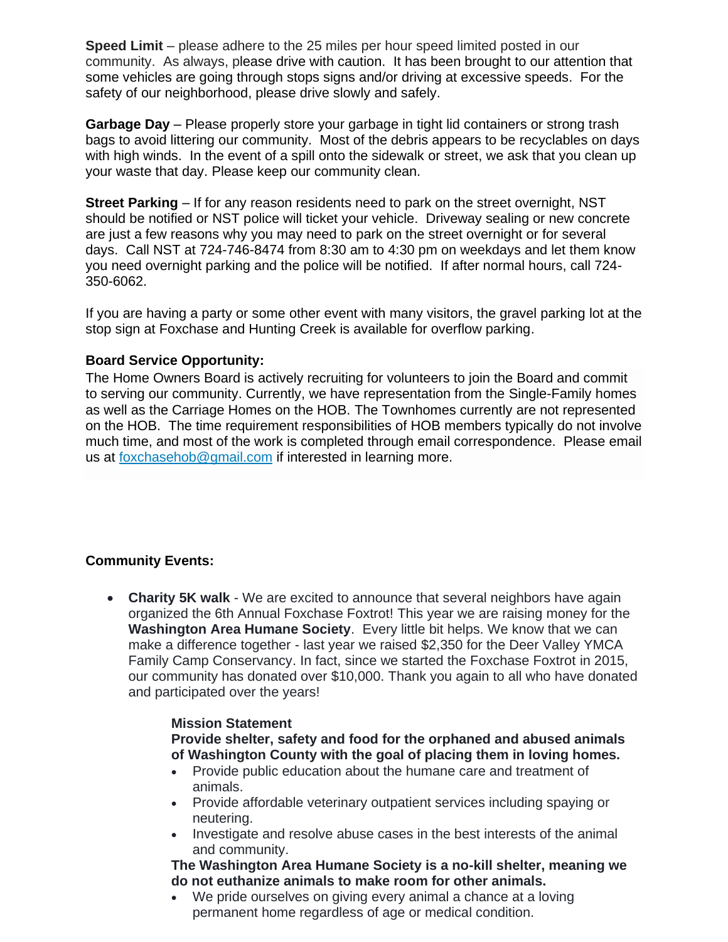**Speed Limit** – please adhere to the 25 miles per hour speed limited posted in our community. As always, please drive with caution. It has been brought to our attention that some vehicles are going through stops signs and/or driving at excessive speeds. For the safety of our neighborhood, please drive slowly and safely.

**Garbage Day** – Please properly store your garbage in tight lid containers or strong trash bags to avoid littering our community. Most of the debris appears to be recyclables on days with high winds. In the event of a spill onto the sidewalk or street, we ask that you clean up your waste that day. Please keep our community clean.

**Street Parking** – If for any reason residents need to park on the street overnight, NST should be notified or NST police will ticket your vehicle. Driveway sealing or new concrete are just a few reasons why you may need to park on the street overnight or for several days. Call NST at 724-746-8474 from 8:30 am to 4:30 pm on weekdays and let them know you need overnight parking and the police will be notified. If after normal hours, call 724- 350-6062.

If you are having a party or some other event with many visitors, the gravel parking lot at the stop sign at Foxchase and Hunting Creek is available for overflow parking.

#### **Board Service Opportunity:**

The Home Owners Board is actively recruiting for volunteers to join the Board and commit to serving our community. Currently, we have representation from the Single-Family homes as well as the Carriage Homes on the HOB. The Townhomes currently are not represented on the HOB. The time requirement responsibilities of HOB members typically do not involve much time, and most of the work is completed through email correspondence. Please email us at [foxchasehob@gmail.com](mailto:foxchasehob@gmail.com) if interested in learning more.

## **Community Events:**

• **Charity 5K walk** - We are excited to announce that several neighbors have again organized the 6th Annual Foxchase Foxtrot! This year we are raising money for the **Washington Area Humane Society**. Every little bit helps. We know that we can make a difference together - last year we raised \$2,350 for the Deer Valley YMCA Family Camp Conservancy. In fact, since we started the Foxchase Foxtrot in 2015, our community has donated over \$10,000. Thank you again to all who have donated and participated over the years!

#### **Mission Statement**

**Provide shelter, safety and food for the orphaned and abused animals of Washington County with the goal of placing them in loving homes.**

- Provide public education about the humane care and treatment of animals.
- Provide affordable veterinary outpatient services including spaying or neutering.
- Investigate and resolve abuse cases in the best interests of the animal and community.

**The Washington Area Humane Society is a no-kill shelter, meaning we do not euthanize animals to make room for other animals.**

• We pride ourselves on giving every animal a chance at a loving permanent home regardless of age or medical condition.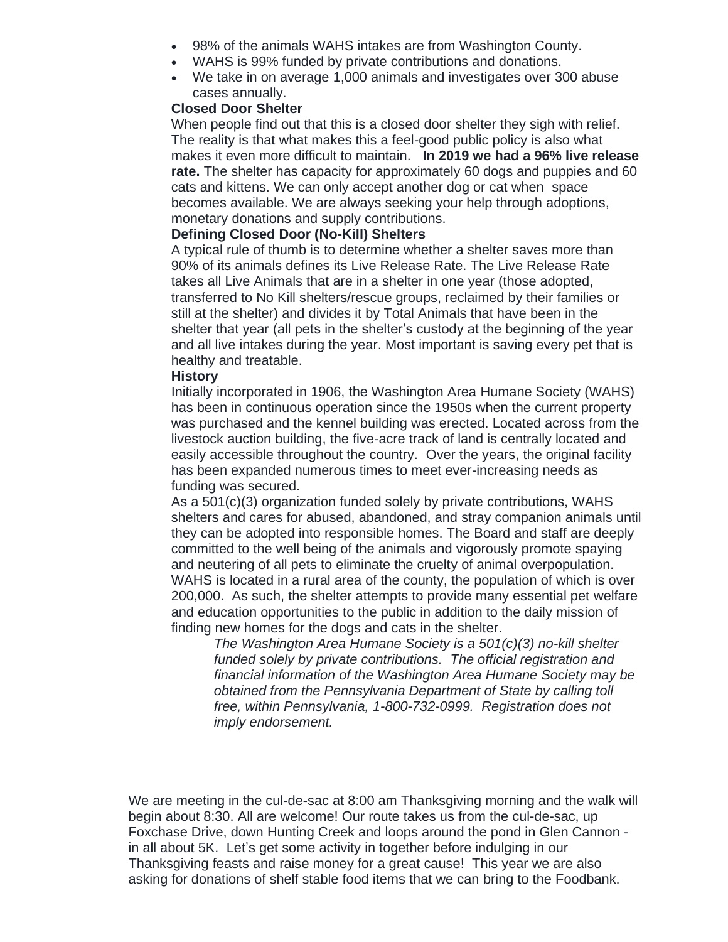- 98% of the animals WAHS intakes are from Washington County.
- WAHS is 99% funded by private contributions and donations.
- We take in on average 1,000 animals and investigates over 300 abuse cases annually.

#### **Closed Door Shelter**

When people find out that this is a closed door shelter they sigh with relief. The reality is that what makes this a feel-good public policy is also what makes it even more difficult to maintain. **In 2019 we had a 96% live release rate.** The shelter has capacity for approximately 60 dogs and puppies and 60 cats and kittens. We can only accept another dog or cat when space becomes available. We are always seeking your help through adoptions, monetary donations and supply contributions.

#### **Defining Closed Door (No-Kill) Shelters**

A typical rule of thumb is to determine whether a shelter saves more than 90% of its animals defines its Live Release Rate. The Live Release Rate takes all Live Animals that are in a shelter in one year (those adopted, transferred to No Kill shelters/rescue groups, reclaimed by their families or still at the shelter) and divides it by Total Animals that have been in the shelter that year (all pets in the shelter's custody at the beginning of the year and all live intakes during the year. Most important is saving every pet that is healthy and treatable.

#### **History**

Initially incorporated in 1906, the Washington Area Humane Society (WAHS) has been in continuous operation since the 1950s when the current property was purchased and the kennel building was erected. Located across from the livestock auction building, the five-acre track of land is centrally located and easily accessible throughout the country. Over the years, the original facility has been expanded numerous times to meet ever-increasing needs as funding was secured.

As a 501(c)(3) organization funded solely by private contributions, WAHS shelters and cares for abused, abandoned, and stray companion animals until they can be adopted into responsible homes. The Board and staff are deeply committed to the well being of the animals and vigorously promote spaying and neutering of all pets to eliminate the cruelty of animal overpopulation. WAHS is located in a rural area of the county, the population of which is over 200,000. As such, the shelter attempts to provide many essential pet welfare and education opportunities to the public in addition to the daily mission of finding new homes for the dogs and cats in the shelter.

*The Washington Area Humane Society is a 501(c)(3) no-kill shelter funded solely by private contributions. The official registration and financial information of the Washington Area Humane Society may be obtained from the Pennsylvania Department of State by calling toll free, within Pennsylvania, 1-800-732-0999. Registration does not imply endorsement.*

We are meeting in the cul-de-sac at 8:00 am Thanksgiving morning and the walk will begin about 8:30. All are welcome! Our route takes us from the cul-de-sac, up Foxchase Drive, down Hunting Creek and loops around the pond in Glen Cannon in all about 5K. Let's get some activity in together before indulging in our Thanksgiving feasts and raise money for a great cause! This year we are also asking for donations of shelf stable food items that we can bring to the Foodbank.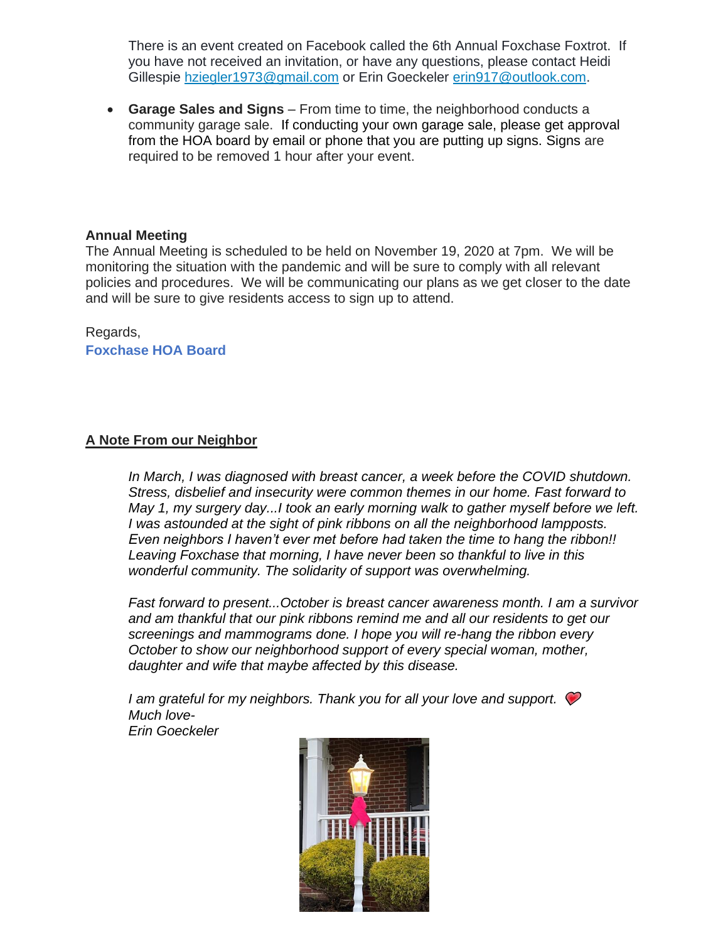There is an event created on Facebook called the 6th Annual Foxchase Foxtrot. If you have not received an invitation, or have any questions, please contact Heidi Gillespie [hziegler1973@gmail.com](mailto:hziegler1973@gmail.com) or Erin Goeckeler [erin917@outlook.com.](mailto:erin917@outlook.com)

• **Garage Sales and Signs** – From time to time, the neighborhood conducts a community garage sale. If conducting your own garage sale, please get approval from the HOA board by email or phone that you are putting up signs. Signs are required to be removed 1 hour after your event.

### **Annual Meeting**

The Annual Meeting is scheduled to be held on November 19, 2020 at 7pm. We will be monitoring the situation with the pandemic and will be sure to comply with all relevant policies and procedures. We will be communicating our plans as we get closer to the date and will be sure to give residents access to sign up to attend.

## Regards,

**Foxchase HOA Board**

### **A Note From our Neighbor**

*In March, I was diagnosed with breast cancer, a week before the COVID shutdown. Stress, disbelief and insecurity were common themes in our home. Fast forward to May 1, my surgery day...I took an early morning walk to gather myself before we left. I was astounded at the sight of pink ribbons on all the neighborhood lampposts. Even neighbors I haven't ever met before had taken the time to hang the ribbon!! Leaving Foxchase that morning, I have never been so thankful to live in this wonderful community. The solidarity of support was overwhelming.* 

*Fast forward to present...October is breast cancer awareness month. I am a survivor and am thankful that our pink ribbons remind me and all our residents to get our screenings and mammograms done. I hope you will re-hang the ribbon every October to show our neighborhood support of every special woman, mother, daughter and wife that maybe affected by this disease.* 

*I am grateful for my neighbors. Thank you for all your love and support. Much love-*

*Erin Goeckeler*